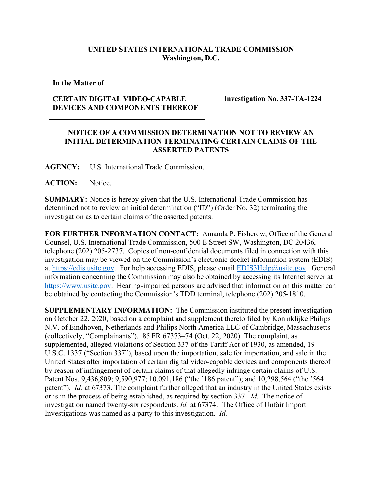## **UNITED STATES INTERNATIONAL TRADE COMMISSION Washington, D.C.**

**In the Matter of**

## **CERTAIN DIGITAL VIDEO-CAPABLE DEVICES AND COMPONENTS THEREOF**

**Investigation No. 337-TA-1224**

## **NOTICE OF A COMMISSION DETERMINATION NOT TO REVIEW AN INITIAL DETERMINATION TERMINATING CERTAIN CLAIMS OF THE ASSERTED PATENTS**

**AGENCY:** U.S. International Trade Commission.

**ACTION:** Notice.

**SUMMARY:** Notice is hereby given that the U.S. International Trade Commission has determined not to review an initial determination ("ID") (Order No. 32) terminating the investigation as to certain claims of the asserted patents.

**FOR FURTHER INFORMATION CONTACT:** Amanda P. Fisherow, Office of the General Counsel, U.S. International Trade Commission, 500 E Street SW, Washington, DC 20436, telephone (202) 205-2737. Copies of non-confidential documents filed in connection with this investigation may be viewed on the Commission's electronic docket information system (EDIS) at [https://edis.usitc.gov.](https://edis.usitc.gov/) For help accessing EDIS, please email [EDIS3Help@usitc.gov.](mailto:EDIS3Help@usitc.gov) General information concerning the Commission may also be obtained by accessing its Internet server at [https://www.usitc.gov.](https://www.usitc.gov/) Hearing-impaired persons are advised that information on this matter can be obtained by contacting the Commission's TDD terminal, telephone (202) 205-1810.

**SUPPLEMENTARY INFORMATION:** The Commission instituted the present investigation on October 22, 2020, based on a complaint and supplement thereto filed by Koninklijke Philips N.V. of Eindhoven, Netherlands and Philips North America LLC of Cambridge, Massachusetts (collectively, "Complainants"). 85 FR 67373–74 (Oct. 22, 2020). The complaint, as supplemented, alleged violations of Section 337 of the Tariff Act of 1930, as amended, 19 U.S.C. 1337 ("Section 337"), based upon the importation, sale for importation, and sale in the United States after importation of certain digital video-capable devices and components thereof by reason of infringement of certain claims of that allegedly infringe certain claims of U.S. Patent Nos. 9,436,809; 9,590,977; 10,091,186 ("the '186 patent"); and 10,298,564 ("the '564 patent"). *Id.* at 67373. The complaint further alleged that an industry in the United States exists or is in the process of being established, as required by section 337. *Id.* The notice of investigation named twenty-six respondents. *Id.* at 67374. The Office of Unfair Import Investigations was named as a party to this investigation. *Id.*